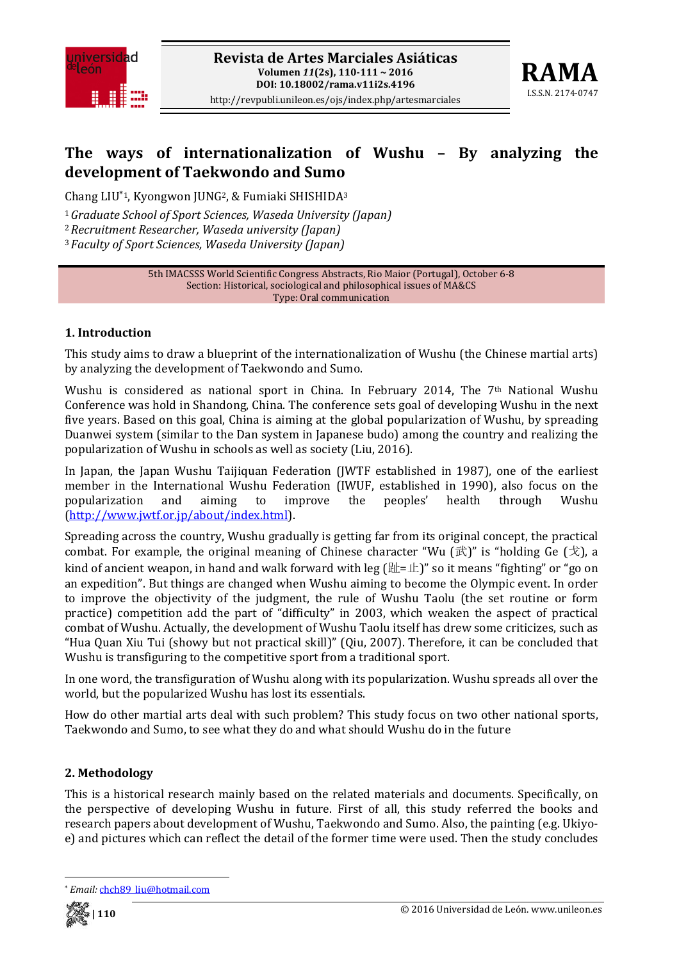



# **The ways of internationalization of Wushu – By analyzing the development of Taekwondo and Sumo**

Chang LIU\*1, Kyongwon JUNG2, & Fumiaki SHISHIDA3

<sup>1</sup>*Graduate School of Sport Sciences, Waseda University (Japan)*

<sup>2</sup>*Recruitment Researcher, Waseda university (Japan)*

<sup>3</sup>*Faculty of Sport Sciences, Waseda University (Japan)*

5th IMACSSS World Scientific Congress Abstracts, Rio Maior (Portugal), October 6‐8 Section: Historical, sociological and philosophical issues of MA&CS Type: Oral communication

## **1. Introduction**

This study aims to draw a blueprint of the internationalization of Wushu (the Chinese martial arts) by analyzing the development of Taekwondo and Sumo.

Wushu is considered as national sport in China. In February 2014, The 7<sup>th</sup> National Wushu Conference was hold in Shandong, China. The conference sets goal of developing Wushu in the next five years. Based on this goal, China is aiming at the global popularization of Wushu, by spreading Duanwei system (similar to the Dan system in Japanese budo) among the country and realizing the popularization of Wushu in schools as well as society (Liu, 2016).

In Japan, the Japan Wushu Taijiquan Federation (JWTF established in 1987), one of the earliest member in the International Wushu Federation (IWUF, established in 1990), also focus on the popularization and aiming to improve the peoples' health through Wushu (http://www.jwtf.or.jp/about/index.html).

Spreading across the country, Wushu gradually is getting far from its original concept, the practical combat. For example, the original meaning of Chinese character "Wu  $(\mathbb{R})$ " is "holding Ge  $(\mathcal{R})$ , a kind of ancient weapon, in hand and walk forward with leg  $[\frac{m}{k}$ = $\frac{m}{k}]$ " so it means "fighting" or "go on an expedition". But things are changed when Wushu aiming to become the Olympic event. In order to improve the objectivity of the judgment, the rule of Wushu Taolu (the set routine or form practice) competition add the part of "difficulty" in 2003, which weaken the aspect of practical combat of Wushu. Actually, the development of Wushu Taolu itself has drew some criticizes, such as "Hua Quan Xiu Tui (showy but not practical skill)" (Qiu, 2007). Therefore, it can be concluded that Wushu is transfiguring to the competitive sport from a traditional sport.

In one word, the transfiguration of Wushu along with its popularization. Wushu spreads all over the world, but the popularized Wushu has lost its essentials.

How do other martial arts deal with such problem? This study focus on two other national sports, Taekwondo and Sumo, to see what they do and what should Wushu do in the future

## **2. Methodology**

This is a historical research mainly based on the related materials and documents. Specifically, on the perspective of developing Wushu in future. First of all, this study referred the books and research papers about development of Wushu, Taekwondo and Sumo. Also, the painting (e.g. Ukiyoe) and pictures which can reflect the detail of the former time were used. Then the study concludes

<sup>\*</sup> *Email:* chch89\_liu@hotmail.com